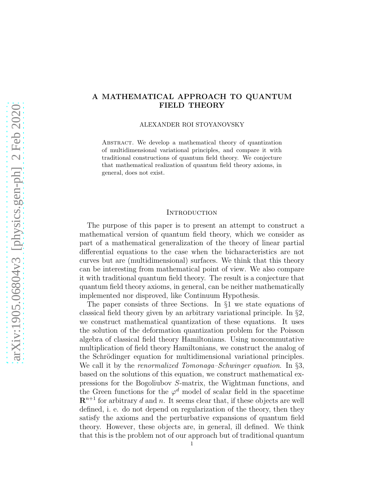## A MATHEMATICAL APPROACH TO QUANTUM FIELD THEORY

ALEXANDER ROI STOYANOVSKY

ABSTRACT. We develop a mathematical theory of quantization of multidimensional variational principles, and compare it with traditional constructions of quantum field theory. We conjecture that mathematical realization of quantum field theory axioms, in general, does not exist.

### **INTRODUCTION**

The purpose of this paper is to present an attempt to construct a mathematical version of quantum field theory, which we consider as part of a mathematical generalization of the theory of linear partial differential equations to the case when the bicharacteristics are not curves but are (multidimensional) surfaces. We think that this theory can be interesting from mathematical point of view. We also compare it with traditional quantum field theory. The result is a conjecture that quantum field theory axioms, in general, can be neither mathematically implemented nor disproved, like Continuum Hypothesis.

The paper consists of three Sections. In §1 we state equations of classical field theory given by an arbitrary variational principle. In §2, we construct mathematical quantization of these equations. It uses the solution of the deformation quantization problem for the Poisson algebra of classical field theory Hamiltonians. Using noncommutative multiplication of field theory Hamiltonians, we construct the analog of the Schrödinger equation for multidimensional variational principles. We call it by the *renormalized Tomonaga–Schwinger equation*. In §3, based on the solutions of this equation, we construct mathematical expressions for the Bogoliubov S-matrix, the Wightman functions, and the Green functions for the  $\varphi^d$  model of scalar field in the spacetime  $\mathbb{R}^{n+1}$  for arbitrary d and n. It seems clear that, if these objects are well defined, i. e. do not depend on regularization of the theory, then they satisfy the axioms and the perturbative expansions of quantum field theory. However, these objects are, in general, ill defined. We think that this is the problem not of our approach but of traditional quantum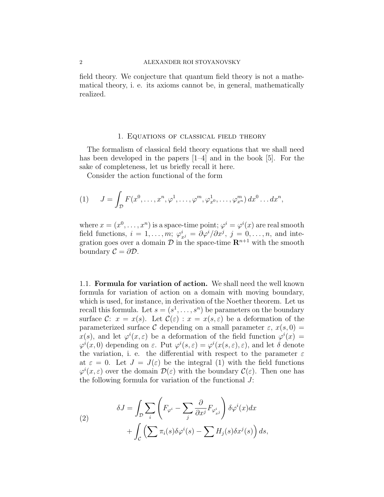#### 2 ALEXANDER ROI STOYANOVSKY

field theory. We conjecture that quantum field theory is not a mathematical theory, i. e. its axioms cannot be, in general, mathematically realized.

#### 1. Equations of classical field theory

The formalism of classical field theory equations that we shall need has been developed in the papers [1–4] and in the book [5]. For the sake of completeness, let us briefly recall it here.

Consider the action functional of the form

(1) 
$$
J = \int_{\mathcal{D}} F(x^0, \dots, x^n, \varphi^1, \dots, \varphi^m, \varphi^1_{x^0}, \dots, \varphi^m_{x^n}) dx^0 \dots dx^n,
$$

where  $x = (x^0, \ldots, x^n)$  is a space-time point;  $\varphi^i = \varphi^i(x)$  are real smooth field functions,  $i = 1, \ldots, m; \varphi_{x}^i = \partial \varphi^i / \partial x^j, j = 0, \ldots, n$ , and integration goes over a domain  $\mathcal D$  in the space-time  $\mathbb R^{n+1}$  with the smooth boundary  $\mathcal{C} = \partial \mathcal{D}$ .

1.1. Formula for variation of action. We shall need the well known formula for variation of action on a domain with moving boundary, which is used, for instance, in derivation of the Noether theorem. Let us recall this formula. Let  $s = (s^1, \ldots, s^n)$  be parameters on the boundary surface C:  $x = x(s)$ . Let  $\mathcal{C}(\varepsilon)$ :  $x = x(s,\varepsilon)$  be a deformation of the parameterized surface C depending on a small parameter  $\varepsilon$ ,  $x(s, 0) =$  $x(s)$ , and let  $\varphi^{i}(x, \varepsilon)$  be a deformation of the field function  $\varphi^{i}(x) =$  $\varphi^i(x,0)$  depending on  $\varepsilon$ . Put  $\varphi^i(s,\varepsilon) = \varphi^i(x(s,\varepsilon),\varepsilon)$ , and let  $\delta$  denote the variation, i. e. the differential with respect to the parameter  $\varepsilon$ at  $\varepsilon = 0$ . Let  $J = J(\varepsilon)$  be the integral (1) with the field functions  $\varphi^{i}(x,\varepsilon)$  over the domain  $\mathcal{D}(\varepsilon)$  with the boundary  $\mathcal{C}(\varepsilon)$ . Then one has the following formula for variation of the functional J:

(2) 
$$
\delta J = \int_{\mathcal{D}} \sum_{i} \left( F_{\varphi^{i}} - \sum_{j} \frac{\partial}{\partial x^{j}} F_{\varphi^{i}_{x^{j}}} \right) \delta \varphi^{i}(x) dx + \int_{\mathcal{C}} \left( \sum \pi_{i}(s) \delta \varphi^{i}(s) - \sum H_{j}(s) \delta x^{j}(s) \right) ds,
$$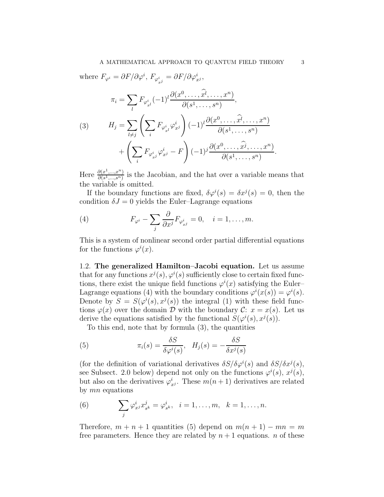where  $F_{\varphi^i} = \partial F / \partial \varphi^i$ ,  $F_{\varphi^i_{x^j}} = \partial F / \partial \varphi^i_{x^j}$ ,

(3) 
$$
\pi_i = \sum_l F_{\varphi_{x^l}^i} (-1)^l \frac{\partial(x^0, \dots, \widehat{x}^l, \dots, x^n)}{\partial(s^1, \dots, s^n)},
$$

$$
H_j = \sum_{l \neq j} \left( \sum_i F_{\varphi_{x^l}^i} \varphi_{x^j}^i \right) (-1)^l \frac{\partial(x^0, \dots, \widehat{x}^l, \dots, x^n)}{\partial(s^1, \dots, s^n)} + \left( \sum_i F_{\varphi_{x^j}^i} \varphi_{x^j}^i - F \right) (-1)^j \frac{\partial(x^0, \dots, \widehat{x}^j, \dots, x^n)}{\partial(s^1, \dots, s^n)}
$$

Here  $\frac{\partial (x^1,...,x^n)}{\partial (s^1-s^n)}$  $\frac{\partial(x_1,...,x_n)}{\partial(s_1,...,s_n)}$  is the Jacobian, and the hat over a variable means that the variable is omitted.

If the boundary functions are fixed,  $\delta \varphi^{i}(s) = \delta x^{j}(s) = 0$ , then the condition  $\delta J = 0$  yields the Euler–Lagrange equations

(4) 
$$
F_{\varphi^i} - \sum_j \frac{\partial}{\partial x^j} F_{\varphi^i_{x^j}} = 0, \quad i = 1, \dots, m.
$$

This is a system of nonlinear second order partial differential equations for the functions  $\varphi^i(x)$ .

1.2. The generalized Hamilton–Jacobi equation. Let us assume that for any functions  $x^j(s)$ ,  $\varphi^i(s)$  sufficiently close to certain fixed functions, there exist the unique field functions  $\varphi^{i}(x)$  satisfying the Euler-Lagrange equations (4) with the boundary conditions  $\varphi^{i}(x(s)) = \varphi^{i}(s)$ . Denote by  $S = S(\varphi^i(s), x^j(s))$  the integral (1) with these field functions  $\varphi(x)$  over the domain D with the boundary C:  $x = x(s)$ . Let us derive the equations satisfied by the functional  $S(\varphi^{i}(s), x^{j}(s))$ .

To this end, note that by formula (3), the quantities

(5) 
$$
\pi_i(s) = \frac{\delta S}{\delta \varphi^i(s)}, \quad H_j(s) = -\frac{\delta S}{\delta x^j(s)}
$$

(for the definition of variational derivatives  $\delta S/\delta \varphi^i(s)$  and  $\delta S/\delta x^j(s)$ , see Subsect. 2.0 below) depend not only on the functions  $\varphi^{i}(s)$ ,  $x^{j}(s)$ , but also on the derivatives  $\varphi_{x^j}^i$ . These  $m(n+1)$  derivatives are related by mn equations

(6) 
$$
\sum_{j} \varphi_{x^j}^i x_{s^k}^j = \varphi_{s^k}^i, \ \ i = 1, ..., m, \ \ k = 1, ..., n.
$$

Therefore,  $m + n + 1$  quantities (5) depend on  $m(n + 1) - mn = m$ free parameters. Hence they are related by  $n+1$  equations. n of these

.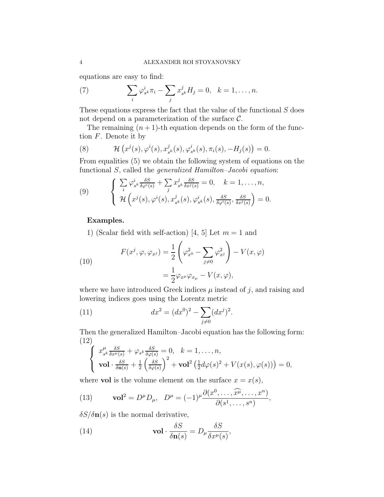equations are easy to find:

(7) 
$$
\sum_{i} \varphi_{s^k}^i \pi_i - \sum_{j} x_{s^k}^j H_j = 0, \quad k = 1, ..., n.
$$

These equations express the fact that the value of the functional  $S$  does not depend on a parameterization of the surface  $\mathcal{C}$ .

The remaining  $(n + 1)$ -th equation depends on the form of the function  $F$ . Denote it by

(8) 
$$
\mathcal{H}\left(x^{j}(s), \varphi^{i}(s), x_{s^{k}}^{j}(s), \varphi_{s^{k}}^{i}(s), \pi_{i}(s), -H_{j}(s)\right) = 0.
$$

From equalities (5) we obtain the following system of equations on the functional S, called the *generalized Hamilton–Jacobi equation*:

(9) 
$$
\begin{cases} \sum_{i} \varphi_{s^k}^i \frac{\delta S}{\delta \varphi^i(s)} + \sum_{j} x_{s^k}^j \frac{\delta S}{\delta x^j(s)} = 0, & k = 1, ..., n, \\ \mathcal{H}\left(x^j(s), \varphi^i(s), x_{s^k}^j(s), \varphi_{s^k}^i(s), \frac{\delta S}{\delta \varphi^i(s)}, \frac{\delta S}{\delta x^j(s)}\right) = 0. \end{cases}
$$

## Examples.

1) (Scalar field with self-action) [4, 5] Let  $m = 1$  and

(10)  

$$
F(x^j, \varphi, \varphi_{x^j}) = \frac{1}{2} \left( \varphi_{x^0}^2 - \sum_{j \neq 0} \varphi_{x^j}^2 \right) - V(x, \varphi)
$$

$$
= \frac{1}{2} \varphi_{x^\mu} \varphi_{x_\mu} - V(x, \varphi),
$$

where we have introduced Greek indices  $\mu$  instead of j, and raising and lowering indices goes using the Lorentz metric

(11) 
$$
dx^{2} = (dx^{0})^{2} - \sum_{j \neq 0} (dx^{j})^{2}.
$$

Then the generalized Hamilton–Jacobi equation has the following form: (12)

$$
\begin{cases}\n x_{s^k}^{\mu} \frac{\delta S}{\delta x^{\mu}(s)} + \varphi_{s^k} \frac{\delta S}{\delta \varphi(s)} = 0, & k = 1, \dots, n, \\
\text{vol} \cdot \frac{\delta S}{\delta \mathbf{n}(s)} + \frac{1}{2} \left( \frac{\delta S}{\delta \varphi(s)} \right)^2 + \text{vol}^2 \left( \frac{1}{2} d\varphi(s)^2 + V(x(s), \varphi(s)) \right) = 0,\n\end{cases}
$$

where **vol** is the volume element on the surface  $x = x(s)$ ,

(13) 
$$
\text{vol}^2 = D^{\mu} D_{\mu}, \quad D^{\mu} = (-1)^{\mu} \frac{\partial(x^0, \dots, \widehat{x^{\mu}}, \dots, x^n)}{\partial(s^1, \dots, s^n)},
$$

 $\delta S/\delta \mathbf{n}(s)$  is the normal derivative,

(14) 
$$
\mathbf{vol} \cdot \frac{\delta S}{\delta \mathbf{n}(s)} = D_{\mu} \frac{\delta S}{\delta x^{\mu}(s)},
$$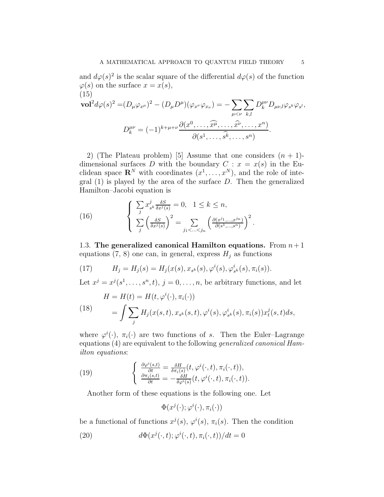and  $d\varphi(s)^2$  is the scalar square of the differential  $d\varphi(s)$  of the function  $\varphi(s)$  on the surface  $x = x(s)$ , (15)

$$
\mathbf{vol}^2 d\varphi(s)^2 = (D_\mu \varphi_{x^\mu})^2 - (D_\mu D^\mu)(\varphi_{x^\nu} \varphi_{x_\nu}) = -\sum_{\mu < \nu} \sum_{k,l} D_k^{\mu\nu} D_{\mu\nu,l} \varphi_{s^k} \varphi_{s^l},
$$
\n
$$
D_k^{\mu\nu} = (-1)^{k+\mu+\nu} \frac{\partial(x^0, \dots, \widehat{x^\mu}, \dots, \widehat{x^\nu}, \dots, x^n)}{\partial(s^1, \dots, \widehat{s^k}, \dots, s^n)}.
$$

2) (The Plateau problem) [5] Assume that one considers  $(n + 1)$ dimensional surfaces D with the boundary  $C: x = x(s)$  in the Euclidean space  $\mathbf{R}^{N}$  with coordinates  $(x^{1},...,x^{N})$ , and the role of inte- $\operatorname{grad}(1)$  is played by the area of the surface D. Then the generalized Hamilton–Jacobi equation is

(16) 
$$
\begin{cases} \sum_{j} x_{s^k}^j \frac{\delta S}{\delta x^j(s)} = 0, & 1 \leq k \leq n, \\ \sum_{j} \left( \frac{\delta S}{\delta x^j(s)} \right)^2 = \sum_{j_1 < \dots < j_n} \left( \frac{\partial (x^{j_1}, \dots, x^{j_n})}{\partial (s^1, \dots, s^n)} \right)^2. \end{cases}
$$

1.3. The generalized canonical Hamilton equations. From  $n+1$ equations (7, 8) one can, in general, express  $H_j$  as functions

(17) 
$$
H_j = H_j(s) = H_j(x(s), x_{s^k}(s), \varphi^i(s), \varphi^i_{s^k}(s), \pi_i(s)).
$$

Let  $x^j = x^j(s^1, \ldots, s^n, t)$ ,  $j = 0, \ldots, n$ , be arbitrary functions, and let

(18) 
$$
H = H(t) = H(t, \varphi^{i}(\cdot), \pi_{i}(\cdot))
$$

$$
= \int \sum_{j} H_{j}(x(s, t), x_{s^{k}}(s, t), \varphi^{i}(s), \varphi^{i}_{s^{k}}(s), \pi_{i}(s)) x_{t}^{j}(s, t) ds,
$$

where  $\varphi^i(\cdot)$ ,  $\pi_i(\cdot)$  are two functions of s. Then the Euler-Lagrange equations (4) are equivalent to the following generalized canonical Hamilton equations:

(19) 
$$
\begin{cases} \frac{\partial \varphi^i(s,t)}{\partial t} = \frac{\delta H}{\delta \pi_i(s)}(t, \varphi^i(\cdot, t), \pi_i(\cdot, t)), \\ \frac{\partial \pi_i(s,t)}{\partial t} = -\frac{\delta H}{\delta \varphi^i(s)}(t, \varphi^i(\cdot, t), \pi_i(\cdot, t)). \end{cases}
$$

Another form of these equations is the following one. Let

 $\Phi(x^j(\cdot);\varphi^i(\cdot),\pi_i(\cdot))$ 

be a functional of functions  $x^j(s)$ ,  $\varphi^i(s)$ ,  $\pi_i(s)$ . Then the condition

(20) 
$$
d\Phi(x^j(\cdot,t); \varphi^i(\cdot,t), \pi_i(\cdot,t))/dt = 0
$$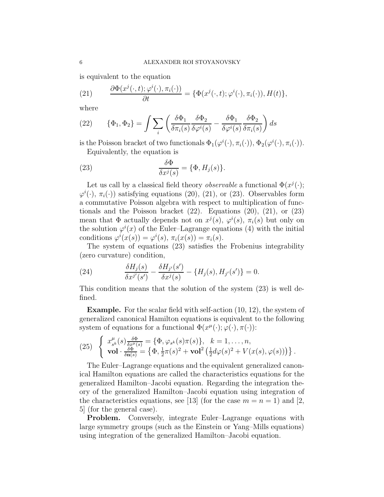is equivalent to the equation

(21) 
$$
\frac{\partial \Phi(x^j(\cdot,t); \varphi^i(\cdot), \pi_i(\cdot))}{\partial t} = \{\Phi(x^j(\cdot,t); \varphi^i(\cdot), \pi_i(\cdot)), H(t)\},\
$$

where

(22) 
$$
\{\Phi_1, \Phi_2\} = \int \sum_i \left( \frac{\delta \Phi_1}{\delta \pi_i(s)} \frac{\delta \Phi_2}{\delta \varphi^i(s)} - \frac{\delta \Phi_1}{\delta \varphi^i(s)} \frac{\delta \Phi_2}{\delta \pi_i(s)} \right) ds
$$

is the Poisson bracket of two functionals  $\Phi_1(\varphi^i(\cdot), \pi_i(\cdot))$ ,  $\Phi_2(\varphi^i(\cdot), \pi_i(\cdot))$ . Equivalently, the equation is

(23) 
$$
\frac{\delta \Phi}{\delta x^j(s)} = \{\Phi, H_j(s)\}.
$$

Let us call by a classical field theory *observable* a functional  $\Phi(x^j(\cdot))$ ;  $\varphi^{i}(\cdot), \pi_{i}(\cdot)$  satisfying equations (20), (21), or (23). Observables form a commutative Poisson algebra with respect to multiplication of functionals and the Poisson bracket  $(22)$ . Equations  $(20)$ ,  $(21)$ , or  $(23)$ mean that  $\Phi$  actually depends not on  $x^j(s)$ ,  $\varphi^i(s)$ ,  $\pi_i(s)$  but only on the solution  $\varphi^{i}(x)$  of the Euler–Lagrange equations (4) with the initial conditions  $\varphi^i(x(s)) = \varphi^i(s), \pi_i(x(s)) = \pi_i(s)$ .

The system of equations (23) satisfies the Frobenius integrability (zero curvature) condition,

(24) 
$$
\frac{\delta H_j(s)}{\delta x^{j'}(s')} - \frac{\delta H_{j'}(s')}{\delta x^{j}(s)} - \{H_j(s), H_{j'}(s')\} = 0.
$$

This condition means that the solution of the system (23) is well defined.

Example. For the scalar field with self-action (10, 12), the system of generalized canonical Hamilton equations is equivalent to the following system of equations for a functional  $\Phi(x^{\mu}(\cdot); \varphi(\cdot), \pi(\cdot))$ :

(25) 
$$
\begin{cases} x_{s^k}^{\mu}(s) \frac{\delta \Phi}{\delta x^{\mu}(s)} = \{\Phi, \varphi_{s^k}(s)\pi(s)\}, & k = 1, \ldots, n, \\ \mathbf{vol} \cdot \frac{\delta \Phi}{\delta \mathbf{n}(s)} = \left\{\Phi, \frac{1}{2}\pi(s)^2 + \mathbf{vol}^2 \left(\frac{1}{2}d\varphi(s)^2 + V(x(s), \varphi(s))\right)\right\}. \end{cases}
$$

The Euler–Lagrange equations and the equivalent generalized canonical Hamilton equations are called the characteristics equations for the generalized Hamilton–Jacobi equation. Regarding the integration theory of the generalized Hamilton–Jacobi equation using integration of the characteristics equations, see [13] (for the case  $m = n = 1$ ) and [2, 5] (for the general case).

Problem. Conversely, integrate Euler–Lagrange equations with large symmetry groups (such as the Einstein or Yang–Mills equations) using integration of the generalized Hamilton–Jacobi equation.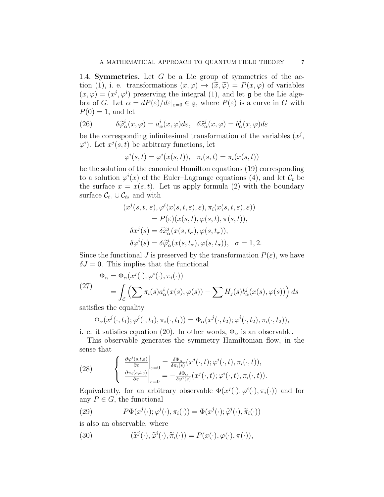1.4. **Symmetries.** Let  $G$  be a Lie group of symmetries of the action (1), i. e. transformations  $(x, \varphi) \to (\tilde{x}, \tilde{\varphi}) = P(x, \varphi)$  of variables  $(x, \varphi) = (x^j, \varphi^i)$  preserving the integral (1), and let  $\mathfrak g$  be the Lie algebra of G. Let  $\alpha = dP(\varepsilon)/d\varepsilon|_{\varepsilon=0} \in \mathfrak{g}$ , where  $P(\varepsilon)$  is a curve in G with  $P(0) = 1$ , and let

(26) 
$$
\delta \widetilde{\varphi}_{\alpha}^{i}(x,\varphi) = a_{\alpha}^{i}(x,\varphi) d\varepsilon, \quad \delta \widetilde{x}_{\alpha}^{j}(x,\varphi) = b_{\alpha}^{j}(x,\varphi) d\varepsilon
$$

be the corresponding infinitesimal transformation of the variables  $(x^{j},$  $\varphi^i$ ). Let  $x^j(s,t)$  be arbitrary functions, let

$$
\varphi^i(s,t) = \varphi^i(x(s,t)), \quad \pi_i(s,t) = \pi_i(x(s,t))
$$

be the solution of the canonical Hamilton equations (19) corresponding to a solution  $\varphi^{i}(x)$  of the Euler-Lagrange equations (4), and let  $\mathcal{C}_{t}$  be the surface  $x = x(s, t)$ . Let us apply formula (2) with the boundary surface  $\mathcal{C}_{t_1} \cup \mathcal{C}_{t_2}$  and with

$$
(x^{j}(s,t,\varepsilon),\varphi^{i}(x(s,t,\varepsilon),\varepsilon),\pi_{i}(x(s,t,\varepsilon),\varepsilon))
$$
  
=  $P(\varepsilon)(x(s,t),\varphi(s,t),\pi(s,t)),$   

$$
\delta x^{j}(s) = \delta \widetilde{x}_{\alpha}^{j}(x(s,t_{\sigma}),\varphi(s,t_{\sigma})),
$$
  

$$
\delta \varphi^{i}(s) = \delta \widetilde{\varphi}_{\alpha}^{i}(x(s,t_{\sigma}),\varphi(s,t_{\sigma})), \quad \sigma = 1,2.
$$

Since the functional J is preserved by the transformation  $P(\varepsilon)$ , we have  $\delta J = 0$ . This implies that the functional

(27)  
\n
$$
\Phi_{\alpha} = \Phi_{\alpha}(x^{j}(\cdot); \varphi^{i}(\cdot), \pi_{i}(\cdot))
$$
\n
$$
= \int_{\mathcal{C}} \left( \sum \pi_{i}(s) a^{i}_{\alpha}(x(s), \varphi(s)) - \sum H_{j}(s) b^{j}_{\alpha}(x(s), \varphi(s)) \right) ds
$$

satisfies the equality

$$
\Phi_{\alpha}(x^{j}(\cdot,t_{1});\varphi^{i}(\cdot,t_{1}),\pi_{i}(\cdot,t_{1}))=\Phi_{\alpha}(x^{j}(\cdot,t_{2});\varphi^{i}(\cdot,t_{2}),\pi_{i}(\cdot,t_{2})),
$$

i. e. it satisfies equation (20). In other words,  $\Phi_{\alpha}$  is an observable.

This observable generates the symmetry Hamiltonian flow, in the sense that

(28) 
$$
\begin{cases} \frac{\partial \varphi^{i}(s,t,\varepsilon)}{\partial \varepsilon}\Big|_{\varepsilon=0} = \frac{\delta \Phi_{\alpha}}{\delta \pi_{i}(s)}(x^{j}(\cdot,t); \varphi^{i}(\cdot,t), \pi_{i}(\cdot,t)),\\ \frac{\partial \pi_{i}(s,t,\varepsilon)}{\partial \varepsilon}\Big|_{\varepsilon=0} = -\frac{\delta \Phi_{\alpha}}{\delta \varphi^{i}(s)}(x^{j}(\cdot,t); \varphi^{i}(\cdot,t), \pi_{i}(\cdot,t)). \end{cases}
$$

Equivalently, for an arbitrary observable  $\Phi(x^j(\cdot), \varphi^i(\cdot), \pi_i(\cdot))$  and for any  $P \in G$ , the functional

(29) 
$$
P\Phi(x^{j}(\cdot);\varphi^{i}(\cdot),\pi_{i}(\cdot)) = \Phi(x^{j}(\cdot);\widetilde{\varphi}^{i}(\cdot),\widetilde{\pi}_{i}(\cdot))
$$

is also an observable, where

(30) 
$$
(\widetilde{x}^j(\cdot), \widetilde{\varphi}^i(\cdot), \widetilde{\pi}_i(\cdot)) = P(x(\cdot), \varphi(\cdot), \pi(\cdot)),
$$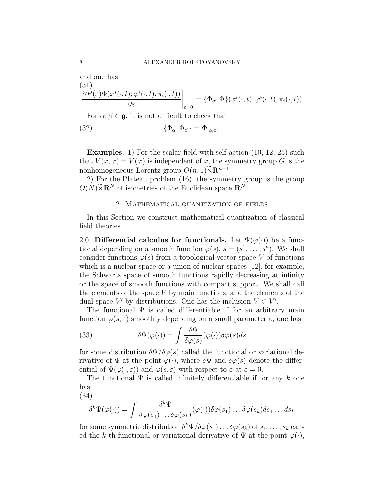and one has  $(31)$ 

$$
\frac{\partial P(\varepsilon)\Phi(x^j(\cdot,t); \varphi^i(\cdot,t), \pi_i(\cdot,t))}{\partial \varepsilon}\bigg|_{\varepsilon=0} = \{\Phi_\alpha, \Phi\}(x^j(\cdot,t); \varphi^i(\cdot,t), \pi_i(\cdot,t)).
$$

For  $\alpha, \beta \in \mathfrak{g}$ , it is not difficult to check that

(32) 
$$
\{\Phi_{\alpha}, \Phi_{\beta}\} = \Phi_{[\alpha, \beta]}.
$$

Examples. 1) For the scalar field with self-action  $(10, 12, 25)$  such that  $V(x, \varphi) = V(\varphi)$  is independent of x, the symmetry group G is the nonhomogeneous Lorentz group  $O(n, 1) \widetilde{\times} \mathbb{R}^{n+1}$ .

2) For the Plateau problem (16), the symmetry group is the group  $O(N)\widetilde{\times}$ **R**<sup>N</sup> of isometries of the Euclidean space **R**<sup>N</sup>.

### 2. Mathematical quantization of fields

In this Section we construct mathematical quantization of classical field theories.

2.0. Differential calculus for functionals. Let  $\Psi(\varphi(\cdot))$  be a functional depending on a smooth function  $\varphi(s)$ ,  $s = (s^1, \ldots, s^n)$ . We shall consider functions  $\varphi(s)$  from a topological vector space V of functions which is a nuclear space or a union of nuclear spaces [12], for example, the Schwartz space of smooth functions rapidly decreasing at infinity or the space of smooth functions with compact support. We shall call the elements of the space  $V$  by main functions, and the elements of the dual space  $V'$  by distributions. One has the inclusion  $V \subset V'$ .

The functional  $\Psi$  is called differentiable if for an arbitrary main function  $\varphi(s, \varepsilon)$  smoothly depending on a small parameter  $\varepsilon$ , one has

(33) 
$$
\delta\Psi(\varphi(\cdot)) = \int \frac{\delta\Psi}{\delta\varphi(s)}(\varphi(\cdot))\delta\varphi(s)ds
$$

for some distribution  $\delta\Psi/\delta\varphi(s)$  called the functional or variational derivative of  $\Psi$  at the point  $\varphi(\cdot)$ , where  $\delta \Psi$  and  $\delta \varphi(s)$  denote the differential of  $\Psi(\varphi(\cdot,\varepsilon))$  and  $\varphi(s,\varepsilon)$  with respect to  $\varepsilon$  at  $\varepsilon=0$ .

The functional  $\Psi$  is called infinitely differentiable if for any k one has

(34)

$$
\delta^k \Psi(\varphi(\cdot)) = \int \frac{\delta^k \Psi}{\delta \varphi(s_1) \dots \delta \varphi(s_k)} (\varphi(\cdot)) \delta \varphi(s_1) \dots \delta \varphi(s_k) ds_1 \dots ds_k
$$

for some symmetric distribution  $\delta^k \Psi / \delta \varphi(s_1) \ldots \delta \varphi(s_k)$  of  $s_1, \ldots, s_k$  called the k-th functional or variational derivative of  $\Psi$  at the point  $\varphi(\cdot)$ ,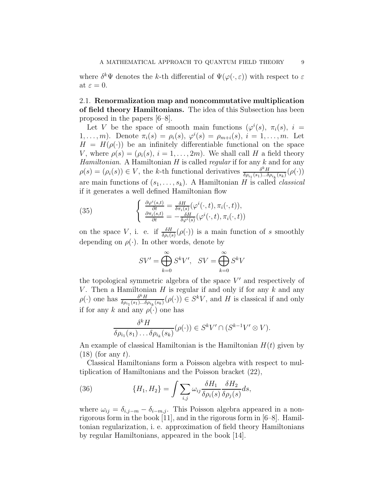where  $\delta^k \Psi$  denotes the k-th differential of  $\Psi(\varphi(\cdot,\varepsilon))$  with respect to  $\varepsilon$ at  $\varepsilon = 0$ .

2.1. Renormalization map and noncommutative multiplication of field theory Hamiltonians. The idea of this Subsection has been proposed in the papers [6–8].

Let V be the space of smooth main functions  $(\varphi^{i}(s), \pi_{i}(s), i =$ 1,...,*m*). Denote  $\pi_i(s) = \rho_i(s)$ ,  $\varphi^i(s) = \rho_{m+i}(s)$ ,  $i = 1, \ldots, m$ . Let  $H = H(\rho(\cdot))$  be an infinitely differentiable functional on the space V, where  $\rho(s) = (\rho_i(s), i = 1, \ldots, 2m)$ . We shall call H a field theory *Hamiltonian.* A Hamiltonian  $H$  is called *regular* if for any  $k$  and for any  $\rho(s) = (\rho_i(s)) \in V$ , the k-th functional derivatives  $\frac{\delta^k H}{\delta \rho_{i,j}(s_1) \dots \delta}$  $\frac{\delta^n H}{\delta \rho_{i_1}(s_1)...\delta \rho_{i_k}(s_k)}(\rho(\cdot))$ are main functions of  $(s_1, \ldots, s_k)$ . A Hamiltonian H is called *classical* if it generates a well defined Hamiltonian flow

(35) 
$$
\begin{cases} \frac{\partial \varphi^i(s,t)}{\partial t} = \frac{\delta H}{\delta \pi_i(s)} (\varphi^i(\cdot,t), \pi_i(\cdot,t)),\\ \frac{\partial \pi_i(s,t)}{\partial t} = -\frac{\delta H}{\delta \varphi^i(s)} (\varphi^i(\cdot,t), \pi_i(\cdot,t)) \end{cases}
$$

on the space V, i. e. if  $\frac{\delta H}{\delta \rho_i(s)}(\rho(\cdot))$  is a main function of s smoothly depending on  $\rho(\cdot)$ . In other words, denote by

$$
SV' = \bigoplus_{k=0}^{\infty} S^k V', \quad SV = \bigoplus_{k=0}^{\infty} S^k V
$$

the topological symmetric algebra of the space  $V'$  and respectively of V. Then a Hamiltonian  $H$  is regular if and only if for any  $k$  and any  $\rho(\cdot)$  one has  $\frac{\delta^k H}{\delta \rho(\cdot \beta)}$  $\frac{\delta^k H}{\delta \rho_{i_1}(s_1)\dots \delta \rho_{i_k}(s_k)}(\rho(\cdot)) \in S^k V$ , and H is classical if and only if for any k and any  $\rho(\cdot)$  one has

$$
\frac{\delta^k H}{\delta \rho_{i_1}(s_1) \dots \delta \rho_{i_k}(s_k)} (\rho(\cdot)) \in S^k V' \cap (S^{k-1} V' \otimes V).
$$

An example of classical Hamiltonian is the Hamiltonian  $H(t)$  given by  $(18)$  (for any t).

Classical Hamiltonians form a Poisson algebra with respect to multiplication of Hamiltonians and the Poisson bracket (22),

(36) 
$$
\{H_1, H_2\} = \int \sum_{i,j} \omega_{ij} \frac{\delta H_1}{\delta \rho_i(s)} \frac{\delta H_2}{\delta \rho_j(s)} ds,
$$

where  $\omega_{ij} = \delta_{i,j-m} - \delta_{i-m,j}$ . This Poisson algebra appeared in a nonrigorous form in the book [11], and in the rigorous form in [6–8]. Hamiltonian regularization, i. e. approximation of field theory Hamiltonians by regular Hamiltonians, appeared in the book [14].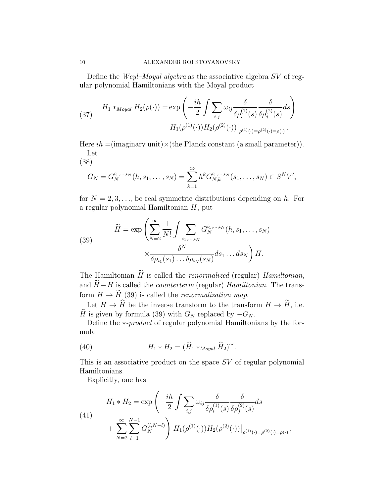Define the Weyl–Moyal algebra as the associative algebra SV of regular polynomial Hamiltonians with the Moyal product

(37) 
$$
H_1 *_{Moyal} H_2(\rho(\cdot)) = \exp\left(-\frac{ih}{2} \int \sum_{i,j} \omega_{ij} \frac{\delta}{\delta \rho_i^{(1)}(s)} \frac{\delta}{\delta \rho_j^{(2)}(s)} ds\right)
$$

$$
H_1(\rho^{(1)}(\cdot)) H_2(\rho^{(2)}(\cdot))|_{\rho^{(1)}(\cdot) = \rho^{(2)}(\cdot) = \rho(\cdot)}.
$$

Here  $ih = (imaginary unit) \times (the Planck constant (a small parameter)).$ Let

(38)

$$
G_N = G_N^{i_1,\dots,i_N}(h,s_1,\dots,s_N) = \sum_{k=1}^{\infty} h^k G_{N,k}^{i_1,\dots,i_N}(s_1,\dots,s_N) \in S^N V',
$$

for  $N = 2, 3, \ldots$ , be real symmetric distributions depending on h. For a regular polynomial Hamiltonian H, put

(39) 
$$
\widetilde{H} = \exp\left(\sum_{N=2}^{\infty} \frac{1}{N!} \int \sum_{i_1,\dots,i_N} G_N^{i_1,\dots,i_N}(h, s_1,\dots,s_N) \times \frac{\delta^N}{\delta \rho_{i_1}(s_1)\dots \delta \rho_{i_N}(s_N)} ds_1 \dots ds_N\right) H.
$$

The Hamiltonian  $\widetilde{H}$  is called the *renormalized* (regular) *Hamiltonian*, and  $\widetilde{H}-H$  is called the *counterterm* (regular) Hamiltonian. The transform  $H \to \widetilde{H}$  (39) is called the *renormalization map*.

Let  $H \to \widehat{H}$  be the inverse transform to the transform  $H \to \widetilde{H}$ , i.e.  $\widehat{H}$  is given by formula (39) with  $G_N$  replaced by  $-G_N$ .

Define the ∗-product of regular polynomial Hamiltonians by the formula

(40) 
$$
H_1 * H_2 = (\widehat{H}_1 *_{Moyal} \widehat{H}_2)^{\sim}.
$$

This is an associative product on the space SV of regular polynomial Hamiltonians.

Explicitly, one has

(41)  

$$
H_1 * H_2 = \exp\left(-\frac{ih}{2} \int \sum_{i,j} \omega_{ij} \frac{\delta}{\delta \rho_i^{(1)}(s)} \frac{\delta}{\delta \rho_j^{(2)}(s)} ds + \sum_{N=2}^{\infty} \sum_{l=1}^{N-1} G_N^{(l,N-l)} \right) H_1(\rho^{(1)}(\cdot)) H_2(\rho^{(2)}(\cdot))|_{\rho^{(1)}(\cdot) = \rho^{(2)}(\cdot) = \rho(\cdot)},
$$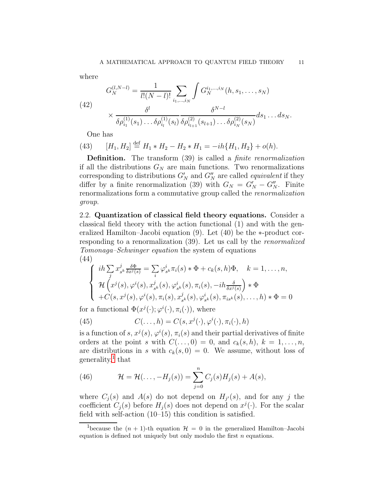where

(42)  

$$
G_N^{(l,N-l)} = \frac{1}{l!(N-l)!} \sum_{i_1,\dots,i_N} \int G_N^{i_1,\dots,i_N}(h,s_1,\dots,s_N)
$$

$$
\times \frac{\delta^l}{\delta \rho_{i_1}^{(1)}(s_1)\dots \delta \rho_{i_l}^{(1)}(s_l)} \frac{\delta^{N-l}}{\delta \rho_{i_{l+1}}^{(2)}(s_{l+1})\dots \delta \rho_{i_N}^{(2)}(s_N)} ds_1 \dots ds_N.
$$

One has

(43)  $[H_1, H_2] \stackrel{\text{def}}{=} H_1 * H_2 - H_2 * H_1 = -ih\{H_1, H_2\} + o(h).$ 

Definition. The transform (39) is called a *finite renormalization* if all the distributions  $G_N$  are main functions. Two renormalizations corresponding to distributions  $G'_{N}$  and  $G''_{N}$  are called *equivalent* if they differ by a finite renormalization (39) with  $G_N = G'_N - G''_N$ . Finite renormalizations form a commutative group called the renormalization group.

2.2. Quantization of classical field theory equations. Consider a classical field theory with the action functional (1) and with the generalized Hamilton–Jacobi equation (9). Let (40) be the ∗-product corresponding to a renormalization (39). Let us call by the renormalized Tomonaga–Schwinger equation the system of equations (44)

$$
\begin{cases}\n\operatorname{ih} \sum_{j} x_{s^k}^j \frac{\delta \Phi}{\delta x^j(s)} = \sum_{i} \varphi_{s^k}^i \pi_i(s) * \Phi + c_k(s, h) \Phi, & k = 1, \dots, n, \\
\mathcal{H} \left( x^j(s), \varphi^i(s), x_{s^k}^j(s), \varphi_{s^k}^i(s), \pi_i(s), -\operatorname{ih}_{\delta x^j(s)} \right) * \Phi \\
+ C(s, x^j(s), \varphi^i(s), \pi_i(s), x_{s^k}^j(s), \varphi_{s^k}^i(s), \pi_{is^k}(s), \dots, h) * \Phi = 0\n\end{cases}
$$

for a functional  $\Phi(x^j(\cdot); \varphi^i(\cdot), \pi_i(\cdot))$ , where

(45) 
$$
C(\ldots, h) = C(s, x^{j}(\cdot), \varphi^{i}(\cdot), \pi_{i}(\cdot), h)
$$

is a function of s,  $x^j(s)$ ,  $\varphi^i(s)$ ,  $\pi_i(s)$  and their partial derivatives of finite orders at the point s with  $C(\ldots, 0) = 0$ , and  $c_k(s, h)$ ,  $k = 1, \ldots, n$ , are distributions in s with  $c_k(s, 0) = 0$ . We assume, without loss of generality,<sup>[1](#page-10-0)</sup> that

(46) 
$$
\mathcal{H} = \mathcal{H}(\ldots, -H_j(s)) = \sum_{j=0}^n C_j(s) H_j(s) + A(s),
$$

where  $C_j(s)$  and  $A(s)$  do not depend on  $H_{j'}(s)$ , and for any j the coefficient  $C_j(s)$  before  $H_j(s)$  does not depend on  $x^j(\cdot)$ . For the scalar field with self-action (10–15) this condition is satisfied.

<span id="page-10-0"></span><sup>&</sup>lt;sup>1</sup>because the  $(n + 1)$ -th equation  $\mathcal{H} = 0$  in the generalized Hamilton–Jacobi equation is defined not uniquely but only modulo the first  $n$  equations.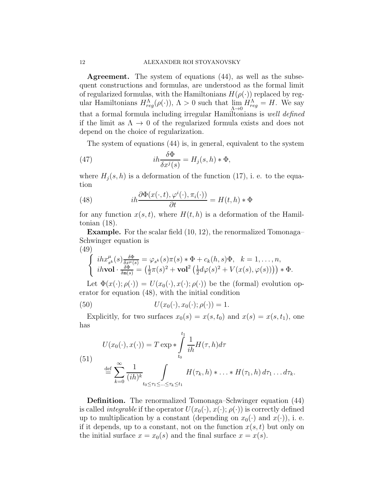Agreement. The system of equations (44), as well as the subsequent constructions and formulas, are understood as the formal limit of regularized formulas, with the Hamiltonians  $H(\rho(\cdot))$  replaced by regular Hamiltonians  $H_{reg}^{\Lambda}(\rho(\cdot))$ ,  $\Lambda > 0$  such that  $\lim_{\Lambda \to 0} H_{reg}^{\Lambda} = H$ . We say that a formal formula including irregular Hamiltonians is well defined if the limit as  $\Lambda \to 0$  of the regularized formula exists and does not depend on the choice of regularization.

The system of equations (44) is, in general, equivalent to the system

(47) 
$$
i h \frac{\delta \Phi}{\delta x^j(s)} = H_j(s, h) * \Phi,
$$

where  $H_j(s, h)$  is a deformation of the function (17), i. e. to the equation

(48) 
$$
i h \frac{\partial \Phi(x(\cdot, t), \varphi^i(\cdot), \pi_i(\cdot))}{\partial t} = H(t, h) * \Phi
$$

for any function  $x(s, t)$ , where  $H(t, h)$  is a deformation of the Hamiltonian (18).

Example. For the scalar field (10, 12), the renormalized Tomonaga– Schwinger equation is (49)

$$
\begin{cases}\n\operatorname{ih}x_{s^k}^{\mu}(s)\frac{\delta\Phi}{\delta x^{\mu}(s)} = \varphi_{s^k}(s)\pi(s) * \Phi + c_k(h,s)\Phi, & k = 1,\ldots,n, \\
\operatorname{ih} \mathbf{vol} \cdot \frac{\delta\Phi}{\delta \mathbf{n}(s)} = \left(\frac{1}{2}\pi(s)^2 + \mathbf{vol}^2\left(\frac{1}{2}d\varphi(s)^2 + V(x(s),\varphi(s))\right)\right) * \Phi.\n\end{cases}
$$

Let  $\Phi(x(\cdot); \rho(\cdot)) = U(x_0(\cdot), x(\cdot); \rho(\cdot))$  be the (formal) evolution operator for equation (48), with the initial condition

(50) 
$$
U(x_0(\cdot), x_0(\cdot); \rho(\cdot)) = 1.
$$

Explicitly, for two surfaces  $x_0(s) = x(s, t_0)$  and  $x(s) = x(s, t_1)$ , one has

(51)  

$$
U(x_0(\cdot), x(\cdot)) = T \exp \left\{ \int_{t_0}^{t_1} \frac{1}{i h} H(\tau, h) d\tau \right\}
$$

$$
\stackrel{\text{def}}{=} \sum_{k=0}^{\infty} \frac{1}{(i h)^k} \int_{t_0 \le \tau_1 \le \dots \le \tau_k \le t_1} H(\tau_k, h) * \dots * H(\tau_1, h) d\tau_1 \dots d\tau_k.
$$

Definition. The renormalized Tomonaga–Schwinger equation (44) is called *integrable* if the operator  $U(x_0(\cdot), x(\cdot); \rho(\cdot))$  is correctly defined up to multiplication by a constant (depending on  $x_0(\cdot)$  and  $x(\cdot)$ ), i. e. if it depends, up to a constant, not on the function  $x(s, t)$  but only on the initial surface  $x = x_0(s)$  and the final surface  $x = x(s)$ .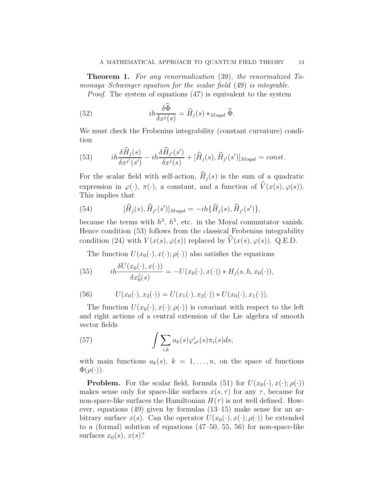**Theorem 1.** For any renormalization (39), the renormalized Tomonaga–Schwinger equation for the scalar field (49) is integrable.

Proof. The system of equations (47) is equivalent to the system

(52) 
$$
i h \frac{\delta \Phi}{\delta x^j(s)} = \widehat{H}_j(s) *_{Moyal} \widehat{\Phi}.
$$

We must check the Frobenius integrability (constant curvature) condition

(53) 
$$
i\hbar \frac{\delta \widehat{H}_j(s)}{\delta x^{j'}(s')} - i\hbar \frac{\delta \widehat{H}_{j'}(s')}{\delta x^{j}(s)} + [\widehat{H}_j(s), \widehat{H}_{j'}(s')]_{Moyal} = const.
$$

For the scalar field with self-action,  $\widehat{H}_j(s)$  is the sum of a quadratic expression in  $\varphi(\cdot)$ ,  $\pi(\cdot)$ , a constant, and a function of  $\widehat{V}(x(s), \varphi(s))$ . This implies that

(54) 
$$
[\hat{H}_j(s), \hat{H}_{j'}(s')]_{Moyal} = -ih\{\hat{H}_j(s), \hat{H}_{j'}(s')\},
$$

because the terms with  $h^3$ ,  $h^5$ , etc. in the Moyal commutator vanish. Hence condition (53) follows from the classical Frobenius integrability condition (24) with  $V(x(s), \varphi(s))$  replaced by  $\widehat{V}(x(s), \varphi(s))$ . Q.E.D.

The function  $U(x_0(\cdot), x(\cdot); \rho(\cdot))$  also satisfies the equations

(55) 
$$
i h \frac{\delta U(x_0(\cdot), x(\cdot))}{\delta x_0^j(s)} = -U(x_0(\cdot), x(\cdot)) * H_j(s, h, x_0(\cdot)),
$$

(56) 
$$
U(x_0(\cdot), x_2(\cdot)) = U(x_1(\cdot), x_2(\cdot)) * U(x_0(\cdot), x_1(\cdot)).
$$

The function  $U(x_0(\cdot), x(\cdot); \rho(\cdot))$  is covariant with respect to the left and right actions of a central extension of the Lie algebra of smooth vector fields

(57) 
$$
\int \sum_{i,k} a_k(s) \varphi_{s^k}^i(s) \pi_i(s) ds,
$$

with main functions  $a_k(s)$ ,  $k = 1, \ldots, n$ , on the space of functions  $\Phi(\rho(\cdot)).$ 

**Problem.** For the scalar field, formula (51) for  $U(x_0(\cdot), x(\cdot); \rho(\cdot))$ makes sense only for space-like surfaces  $x(s, \tau)$  for any  $\tau$ , because for non-space-like surfaces the Hamiltonian  $H(\tau)$  is not well defined. However, equations (49) given by formulas (13–15) make sense for an arbitrary surface  $x(s)$ . Can the operator  $U(x_0(\cdot), x(\cdot); \rho(\cdot))$  be extended to a (formal) solution of equations (47–50, 55, 56) for non-space-like surfaces  $x_0(s)$ ,  $x(s)$ ?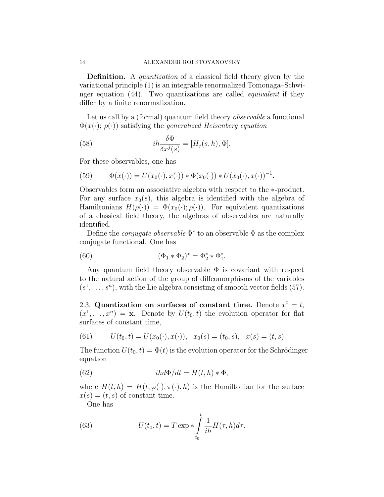Definition. A quantization of a classical field theory given by the variational principle (1) is an integrable renormalized Tomonaga–Schwinger equation (44). Two quantizations are called equivalent if they differ by a finite renormalization.

Let us call by a (formal) quantum field theory *observable* a functional  $\Phi(x(\cdot); \rho(\cdot))$  satisfying the *generalized Heisenberg equation* 

(58) 
$$
ih\frac{\delta\Phi}{\delta x^j(s)} = [H_j(s,h),\Phi].
$$

For these observables, one has

(59) 
$$
\Phi(x(\cdot)) = U(x_0(\cdot), x(\cdot)) * \Phi(x_0(\cdot)) * U(x_0(\cdot), x(\cdot))^{-1}.
$$

Observables form an associative algebra with respect to the ∗-product. For any surface  $x_0(s)$ , this algebra is identified with the algebra of Hamiltonians  $H(\rho(\cdot)) = \Phi(x_0(\cdot); \rho(\cdot))$ . For equivalent quantizations of a classical field theory, the algebras of observables are naturally identified.

Define the *conjugate observable*  $\Phi^*$  to an observable  $\Phi$  as the complex conjugate functional. One has

(60) 
$$
(\Phi_1 * \Phi_2)^* = \Phi_2^* * \Phi_1^*.
$$

Any quantum field theory observable  $\Phi$  is covariant with respect to the natural action of the group of diffeomorphisms of the variables  $(s<sup>1</sup>,..., s<sup>n</sup>)$ , with the Lie algebra consisting of smooth vector fields (57).

2.3. Quantization on surfaces of constant time. Denote  $x^0 = t$ ,  $(x^1, \ldots, x^n) = \mathbf{x}$ . Denote by  $U(t_0, t)$  the evolution operator for flat surfaces of constant time,

(61) 
$$
U(t_0, t) = U(x_0(\cdot), x(\cdot)), \quad x_0(s) = (t_0, s), \quad x(s) = (t, s).
$$

The function  $U(t_0, t) = \Phi(t)$  is the evolution operator for the Schrödinger equation

(62) 
$$
ihd\Phi/dt = H(t,h) * \Phi,
$$

where  $H(t, h) = H(t, \varphi(\cdot), \pi(\cdot), h)$  is the Hamiltonian for the surface  $x(s) = (t, s)$  of constant time.

One has

(63) 
$$
U(t_0, t) = T \exp \left( \int_{t_0}^{t} \frac{1}{i h} H(\tau, h) d\tau \right).
$$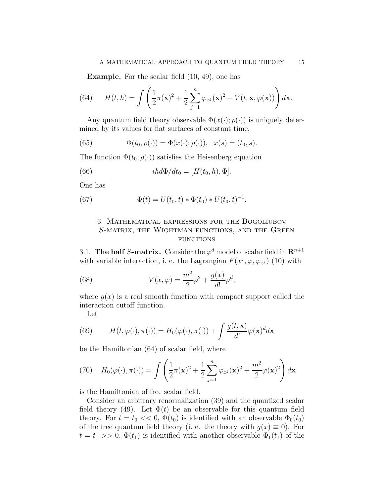Example. For the scalar field (10, 49), one has

(64) 
$$
H(t,h) = \int \left(\frac{1}{2}\pi(\mathbf{x})^2 + \frac{1}{2}\sum_{j=1}^n \varphi_{x^j}(\mathbf{x})^2 + V(t,\mathbf{x},\varphi(\mathbf{x}))\right) d\mathbf{x}.
$$

Any quantum field theory observable  $\Phi(x(\cdot); \rho(\cdot))$  is uniquely determined by its values for flat surfaces of constant time,

(65) 
$$
\Phi(t_0, \rho(\cdot)) = \Phi(x(\cdot); \rho(\cdot)), \quad x(s) = (t_0, s).
$$

The function  $\Phi(t_0, \rho(\cdot))$  satisfies the Heisenberg equation

(66) 
$$
ihd\Phi/dt_0 = [H(t_0, h), \Phi].
$$

One has

(67) 
$$
\Phi(t) = U(t_0, t) * \Phi(t_0) * U(t_0, t)^{-1}.
$$

# 3. Mathematical expressions for the Bogoliubov S-matrix, the Wightman functions, and the Green **FUNCTIONS**

3.1. The half S-matrix. Consider the  $\varphi^d$  model of scalar field in  $\mathbf{R}^{n+1}$ with variable interaction, i. e. the Lagrangian  $F(x^j, \varphi, \varphi_{x^j})$  (10) with

(68) 
$$
V(x,\varphi) = \frac{m^2}{2}\varphi^2 + \frac{g(x)}{d!}\varphi^d,
$$

where  $g(x)$  is a real smooth function with compact support called the interaction cutoff function.

Let

(69) 
$$
H(t, \varphi(\cdot), \pi(\cdot)) = H_0(\varphi(\cdot), \pi(\cdot)) + \int \frac{g(t, \mathbf{x})}{d!} \varphi(\mathbf{x})^d d\mathbf{x}
$$

be the Hamiltonian (64) of scalar field, where

(70) 
$$
H_0(\varphi(\cdot), \pi(\cdot)) = \int \left(\frac{1}{2}\pi(\mathbf{x})^2 + \frac{1}{2}\sum_{j=1}^n \varphi_{x^j}(\mathbf{x})^2 + \frac{m^2}{2}\varphi(\mathbf{x})^2\right) d\mathbf{x}
$$

is the Hamiltonian of free scalar field.

Consider an arbitrary renormalization (39) and the quantized scalar field theory (49). Let  $\Phi(t)$  be an observable for this quantum field theory. For  $t = t_0 \ll 0$ ,  $\Phi(t_0)$  is identified with an observable  $\Phi_0(t_0)$ of the free quantum field theory (i. e. the theory with  $g(x) \equiv 0$ ). For  $t = t_1 >> 0, \Phi(t_1)$  is identified with another observable  $\Phi_1(t_1)$  of the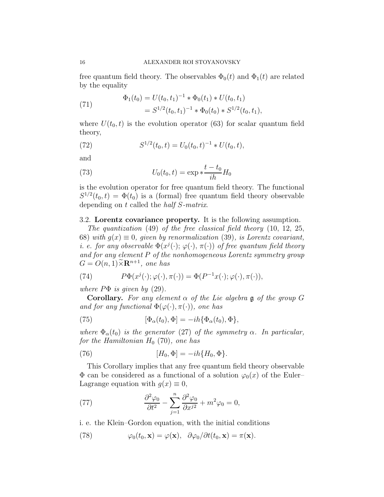free quantum field theory. The observables  $\Phi_0(t)$  and  $\Phi_1(t)$  are related by the equality

(71) 
$$
\Phi_1(t_0) = U(t_0, t_1)^{-1} * \Phi_0(t_1) * U(t_0, t_1)
$$

$$
= S^{1/2}(t_0, t_1)^{-1} * \Phi_0(t_0) * S^{1/2}(t_0, t_1),
$$

where  $U(t_0, t)$  is the evolution operator (63) for scalar quantum field theory,

(72) 
$$
S^{1/2}(t_0,t) = U_0(t_0,t)^{-1} * U(t_0,t),
$$

and

(73) 
$$
U_0(t_0, t) = \exp \frac{t - t_0}{i h} H_0
$$

is the evolution operator for free quantum field theory. The functional  $S^{1/2}(t_0,t) = \Phi(t_0)$  is a (formal) free quantum field theory observable depending on t called the half S-matrix.

3.2. Lorentz covariance property. It is the following assumption.

The quantization (49) of the free classical field theory (10, 12, 25, 68) with  $g(x) \equiv 0$ , given by renormalization (39), is Lorentz covariant, *i. e. for any observable*  $\Phi(x^j(\cdot); \varphi(\cdot), \pi(\cdot))$  *of free quantum field theory* and for any element P of the nonhomogeneous Lorentz symmetry group  $G = O(n, 1) \widetilde{\times} \mathbf{R}^{n+1}$ , one has

(74) 
$$
P\Phi(x^{j}(\cdot);\varphi(\cdot),\pi(\cdot)) = \Phi(P^{-1}x(\cdot);\varphi(\cdot),\pi(\cdot)),
$$

where  $P\Phi$  is given by (29).

**Corollary.** For any element  $\alpha$  of the Lie algebra g of the group G and for any functional  $\Phi(\varphi(\cdot), \pi(\cdot))$ , one has

(75) 
$$
[\Phi_{\alpha}(t_0), \Phi] = -ih{\Phi_{\alpha}(t_0), \Phi},
$$

where  $\Phi_{\alpha}(t_0)$  is the generator (27) of the symmetry  $\alpha$ . In particular, for the Hamiltonian  $H_0$  (70), one has

(76) 
$$
[H_0, \Phi] = -ih\{H_0, \Phi\}.
$$

This Corollary implies that any free quantum field theory observable  $\Phi$  can be considered as a functional of a solution  $\varphi_0(x)$  of the Euler– Lagrange equation with  $q(x) \equiv 0$ ,

(77) 
$$
\frac{\partial^2 \varphi_0}{\partial t^2} - \sum_{j=1}^n \frac{\partial^2 \varphi_0}{\partial x^{j2}} + m^2 \varphi_0 = 0,
$$

i. e. the Klein–Gordon equation, with the initial conditions

(78) 
$$
\varphi_0(t_0, \mathbf{x}) = \varphi(\mathbf{x}), \quad \partial \varphi_0 / \partial t(t_0, \mathbf{x}) = \pi(\mathbf{x}).
$$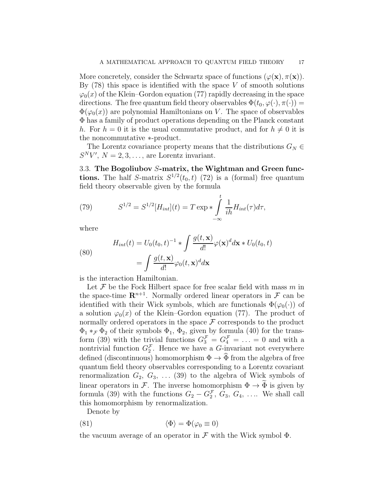More concretely, consider the Schwartz space of functions  $(\varphi(\mathbf{x}), \pi(\mathbf{x}))$ . By  $(78)$  this space is identified with the space V of smooth solutions  $\varphi_0(x)$  of the Klein–Gordon equation (77) rapidly decreasing in the space directions. The free quantum field theory observables  $\Phi(t_0, \varphi(\cdot), \pi(\cdot)) =$  $\Phi(\varphi_0(x))$  are polynomial Hamiltonians on V. The space of observables Φ has a family of product operations depending on the Planck constant h. For  $h = 0$  it is the usual commutative product, and for  $h \neq 0$  it is the noncommutative ∗-product.

The Lorentz covariance property means that the distributions  $G_N \in$  $S^N V'$ ,  $N = 2, 3, \ldots$ , are Lorentz invariant.

3.3. The Bogoliubov S-matrix, the Wightman and Green functions. The half S-matrix  $S^{1/2}(t_0,t)$  (72) is a (formal) free quantum field theory observable given by the formula

(79) 
$$
S^{1/2} = S^{1/2}[H_{int}](t) = T \exp \left( \int_{-\infty}^{t} \frac{1}{i h} H_{int}(\tau) d\tau, \right)
$$

where

(80)  

$$
H_{int}(t) = U_0(t_0, t)^{-1} * \int \frac{g(t, \mathbf{x})}{d!} \varphi(\mathbf{x})^d d\mathbf{x} * U_0(t_0, t)
$$

$$
= \int \frac{g(t, \mathbf{x})}{d!} \varphi_0(t, \mathbf{x})^d d\mathbf{x}
$$

is the interaction Hamiltonian.

Let  $\mathcal F$  be the Fock Hilbert space for free scalar field with mass  $m$  in the space-time  $\mathbb{R}^{n+1}$ . Normally ordered linear operators in  $\mathcal F$  can be identified with their Wick symbols, which are functionals  $\Phi(\varphi_0(\cdot))$  of a solution  $\varphi_0(x)$  of the Klein–Gordon equation (77). The product of normally ordered operators in the space  $\mathcal F$  corresponds to the product  $\Phi_1*_\mathcal{F} \Phi_2$  of their symbols  $\Phi_1$ ,  $\Phi_2$ , given by formula (40) for the transform (39) with the trivial functions  $G_3^{\mathcal{F}} = G_4^{\mathcal{F}} = \ldots = 0$  and with a nontrivial function  $G_2^{\mathcal{F}}$ . Hence we have a G-invariant not everywhere defined (discontinuous) homomorphism  $\Phi \to \tilde{\Phi}$  from the algebra of free quantum field theory observables corresponding to a Lorentz covariant renormalization  $G_2, G_3, \ldots (39)$  to the algebra of Wick symbols of linear operators in F. The inverse homomorphism  $\Phi \to \Phi$  is given by formula (39) with the functions  $G_2 - G_2^{\mathcal{F}}, G_3, G_4, \ldots$  We shall call this homomorphism by renormalization.

Denote by

(81) 
$$
\langle \Phi \rangle = \Phi(\varphi_0 \equiv 0)
$$

the vacuum average of an operator in  $\mathcal F$  with the Wick symbol  $\Phi$ .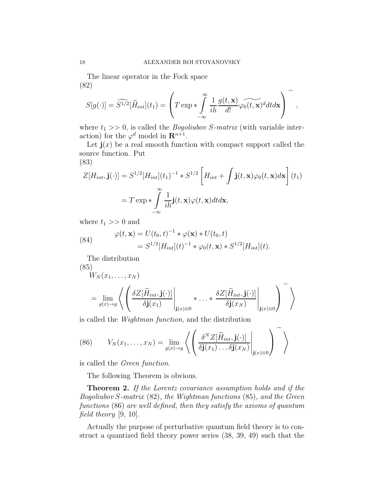The linear operator in the Fock space (82)

$$
S[g(\cdot)] = \widehat{S^{1/2}}[\widetilde{H}_{int}](t_1) = \left(T \exp \ast \int\limits_{-\infty}^{\infty} \frac{1}{i h} \frac{g(t, \mathbf{x})}{d!} \widehat{\varphi_0(t, \mathbf{x})} d dt d\mathbf{x}\right),
$$

where  $t_1 >> 0$ , is called the *Bogoliubov S-matrix* (with variable interaction) for the  $\varphi^d$  model in  $\mathbf{R}^{n+1}$ .

Let  $\mathbf{j}(x)$  be a real smooth function with compact support called the source function. Put

$$
(83)
$$

$$
Z[H_{int}, \mathbf{j}(\cdot)] = S^{1/2}[H_{int}](t_1)^{-1} * S^{1/2} \left[H_{int} + \int \mathbf{j}(t, \mathbf{x}) \varphi_0(t, \mathbf{x}) d\mathbf{x}\right](t_1)
$$

$$
= T \exp \left(-\sum_{-\infty}^{\infty} \frac{1}{i\hbar} \mathbf{j}(t, \mathbf{x}) \varphi(t, \mathbf{x}) dt d\mathbf{x},
$$

where  $t_1 >> 0$  and

(84) 
$$
\varphi(t, \mathbf{x}) = U(t_0, t)^{-1} * \varphi(\mathbf{x}) * U(t_0, t) = S^{1/2}[H_{int}](t)^{-1} * \varphi_0(t, \mathbf{x}) * S^{1/2}[H_{int}](t).
$$

The distribution

(85)  
\n
$$
W_N(x_1, ..., x_N)
$$
\n
$$
= \lim_{g(x) \to g} \left\langle \left( \frac{\delta Z[\widetilde{H}_{int}, \mathbf{j}(\cdot)]}{\delta \mathbf{j}(x_1)} \bigg|_{\mathbf{j}(x) \equiv 0} * ... * \frac{\delta Z[\widetilde{H}_{int}, \mathbf{j}(\cdot)]}{\delta \mathbf{j}(x_N)} \bigg|_{\mathbf{j}(x) \equiv 0} \right) \right\rangle
$$

is called the Wightman function, and the distribution

(86) 
$$
V_N(x_1,\ldots,x_N) = \lim_{g(x)\to g} \left\langle \left( \frac{\delta^N Z[\widetilde{H}_{int},\mathbf{j}(\cdot)]}{\delta \mathbf{j}(x_1)\ldots\delta \mathbf{j}(x_N)} \bigg|_{\mathbf{j}(x)=0} \right) \right\rangle
$$

is called the Green function.

The following Theorem is obvious.

**Theorem 2.** If the Lorentz covariance assumption holds and if the Bogoliubov S-matrix (82), the Wightman functions (85), and the Green functions (86) are well defined, then they satisfy the axioms of quantum field theory [9, 10].

Actually the purpose of perturbative quantum field theory is to construct a quantized field theory power series (38, 39, 49) such that the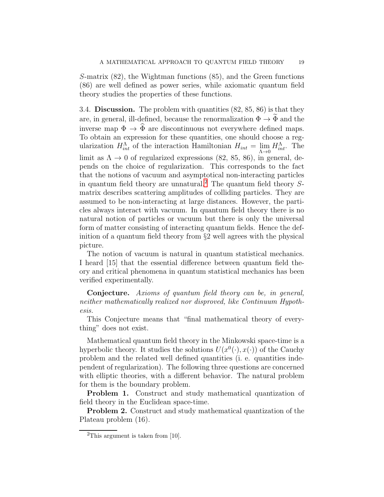S-matrix (82), the Wightman functions (85), and the Green functions (86) are well defined as power series, while axiomatic quantum field theory studies the properties of these functions.

3.4. Discussion. The problem with quantities (82, 85, 86) is that they are, in general, ill-defined, because the renormalization  $\Phi \to \tilde{\Phi}$  and the inverse map  $\Phi \to \hat{\Phi}$  are discontinuous not everywhere defined maps. To obtain an expression for these quantities, one should choose a regularization  $H_{int}^{\Lambda}$  of the interaction Hamiltonian  $H_{int} = \lim_{\Lambda \to 0} H_{int}^{\Lambda}$ . The limit as  $\Lambda \to 0$  of regularized expressions (82, 85, 86), in general, depends on the choice of regularization. This corresponds to the fact that the notions of vacuum and asymptotical non-interacting particles in quantum field theory are unnatural.<sup>[2](#page-18-0)</sup> The quantum field theory  $S$ matrix describes scattering amplitudes of colliding particles. They are assumed to be non-interacting at large distances. However, the particles always interact with vacuum. In quantum field theory there is no natural notion of particles or vacuum but there is only the universal form of matter consisting of interacting quantum fields. Hence the definition of a quantum field theory from §2 well agrees with the physical picture.

The notion of vacuum is natural in quantum statistical mechanics. I heard [15] that the essential difference between quantum field theory and critical phenomena in quantum statistical mechanics has been verified experimentally.

Conjecture. Axioms of quantum field theory can be, in general, neither mathematically realized nor disproved, like Continuum Hypothesis.

This Conjecture means that "final mathematical theory of everything" does not exist.

Mathematical quantum field theory in the Minkowski space-time is a hyperbolic theory. It studies the solutions  $U(x^0(\cdot), x(\cdot))$  of the Cauchy problem and the related well defined quantities (i. e. quantities independent of regularization). The following three questions are concerned with elliptic theories, with a different behavior. The natural problem for them is the boundary problem.

Problem 1. Construct and study mathematical quantization of field theory in the Euclidean space-time.

**Problem 2.** Construct and study mathematical quantization of the Plateau problem (16).

<span id="page-18-0"></span><sup>&</sup>lt;sup>2</sup>This argument is taken from  $[10]$ .